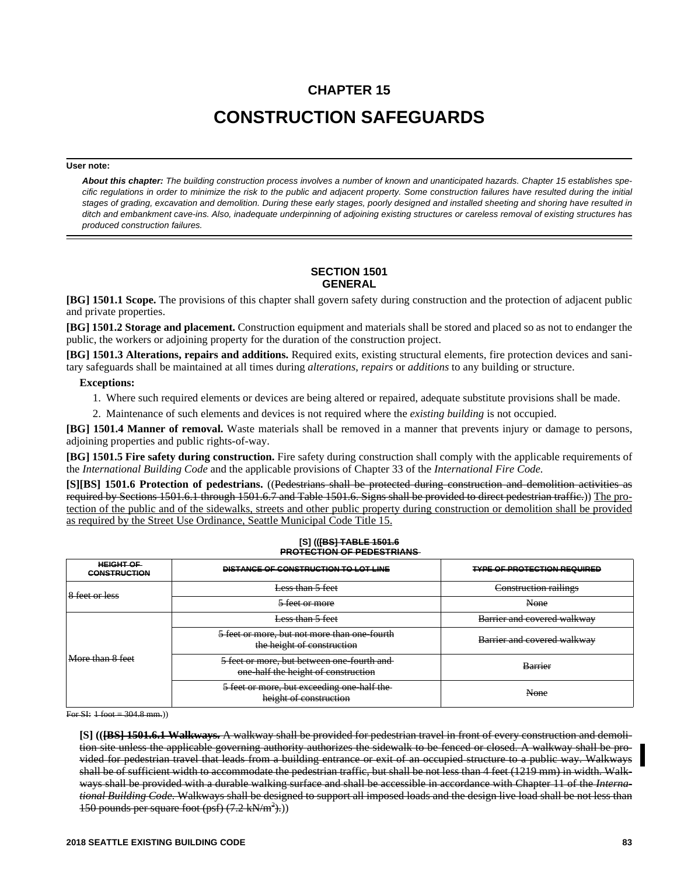# **CHAPTER 15 CONSTRUCTION SAFEGUARDS**

#### **User note:**

*About this chapter: The building construction process involves a number of known and unanticipated hazards. Chapter 15 establishes specific regulations in order to minimize the risk to the public and adjacent property. Some construction failures have resulted during the initial stages of grading, excavation and demolition. During these early stages, poorly designed and installed sheeting and shoring have resulted in ditch and embankment cave-ins. Also, inadequate underpinning of adjoining existing structures or careless removal of existing structures has produced construction failures.*

## **SECTION 1501 GENERAL**

**[BG] 1501.1 Scope.** The provisions of this chapter shall govern safety during construction and the protection of adjacent public and private properties.

**[BG] 1501.2 Storage and placement.** Construction equipment and materials shall be stored and placed so as not to endanger the public, the workers or adjoining property for the duration of the construction project.

**[BG] 1501.3 Alterations, repairs and additions.** Required exits, existing structural elements, fire protection devices and sanitary safeguards shall be maintained at all times during *alterations*, *repairs* or *additions* to any building or structure.

#### **Exceptions:**

- 1. Where such required elements or devices are being altered or repaired, adequate substitute provisions shall be made.
- 2. Maintenance of such elements and devices is not required where the *existing building* is not occupied.

**[BG] 1501.4 Manner of removal.** Waste materials shall be removed in a manner that prevents injury or damage to persons, adjoining properties and public rights-of-way.

**[BG] 1501.5 Fire safety during construction.** Fire safety during construction shall comply with the applicable requirements of the *International Building Code* and the applicable provisions of Chapter 33 of the *International Fire Code.* 

**[S][BS] 1501.6 Protection of pedestrians.** ((Pedestrians shall be protected during construction and demolition activities as required by Sections 1501.6.1 through 1501.6.7 and Table 1501.6. Signs shall be provided to direct pedestrian traffic.)) The protection of the public and of the sidewalks, streets and other public property during construction or demolition shall be provided as required by the Street Use Ordinance, Seattle Municipal Code Title 15.

#### **[S] (([BS] TABLE 1501.6 PROTECTION OF PEDESTRIANS**

| <b>HEIGHT OF</b><br><b>CONSTRUCTION</b>         | DISTANCE OF CONSTRUCTION TO LOT LINE                                                                    | <b>TYPE OF PROTECTION REQUIRED</b> |
|-------------------------------------------------|---------------------------------------------------------------------------------------------------------|------------------------------------|
| <u>leator lace</u><br><del>o icel ui icss</del> | Less than 5 feet                                                                                        | Construction railings              |
|                                                 | 5 feet or more                                                                                          | None                               |
| More than 8 feet                                | Less than 5 feet                                                                                        | Barrier and covered walkway        |
|                                                 | 5 feet or more, but not more than one-fourth<br>the height of construction                              | Barrier and covered walkway        |
|                                                 | 5 feet or more, but between one-fourth and<br>one-half the height of construction                       | <b>Barrier</b>                     |
|                                                 | 5 feet or more, but exceeding one-half the<br>hoight of construction<br><del>ncizin oi consuucuon</del> | None                               |

For SI:  $+$ foot = 304.8 mm.)

**[S] (([BS] 1501.6.1 Walkways.** A walkway shall be provided for pedestrian travel in front of every construction and demolition site unless the applicable governing authority authorizes the sidewalk to be fenced or closed. A walkway shall be provided for pedestrian travel that leads from a building entrance or exit of an occupied structure to a public way. Walkways shall be of sufficient width to accommodate the pedestrian traffic, but shall be not less than 4 feet (1219 mm) in width. Walkways shall be provided with a durable walking surface and shall be accessible in accordance with Chapter 11 of the *International Building Code.* Walkways shall be designed to support all imposed loads and the design live load shall be not less than 150 pounds per square foot  $(psf)$   $(7.2 \text{ kN/m}^2)$ .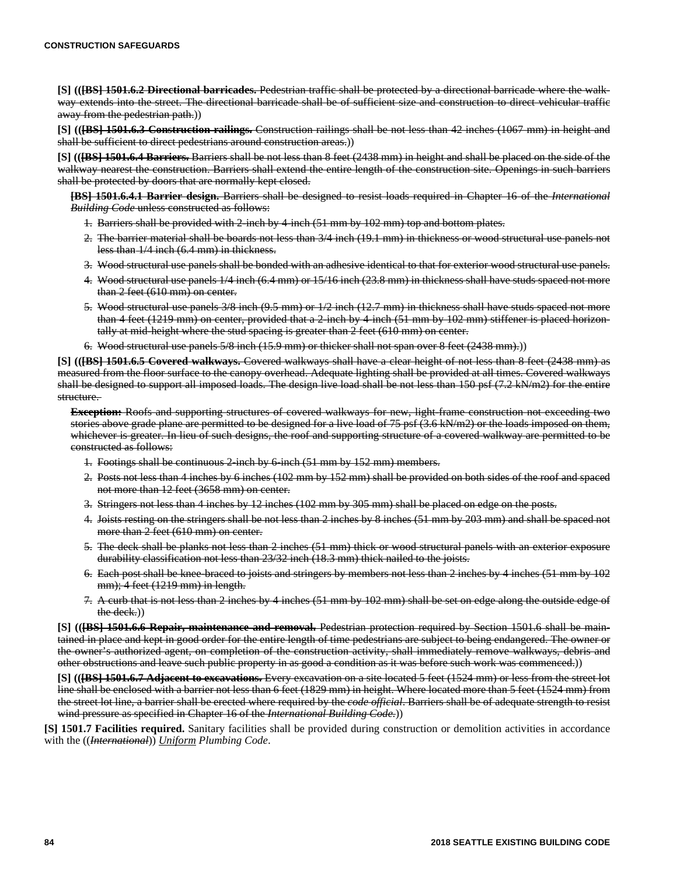**[S] (([BS] 1501.6.2 Directional barricades.** Pedestrian traffic shall be protected by a directional barricade where the walkway extends into the street. The directional barricade shall be of sufficient size and construction to direct vehicular traffic away from the pedestrian path.))

**[S] (([BS] 1501.6.3 Construction railings.** Construction railings shall be not less than 42 inches (1067 mm) in height and shall be sufficient to direct pedestrians around construction areas.)

**[S] (([BS] 1501.6.4 Barriers.** Barriers shall be not less than 8 feet (2438 mm) in height and shall be placed on the side of the walkway nearest the construction. Barriers shall extend the entire length of the construction site. Openings in such barriers shall be protected by doors that are normally kept closed.

**[BS] 1501.6.4.1 Barrier design.** Barriers shall be designed to resist loads required in Chapter 16 of the *International Building Code* unless constructed as follows:

- 1. Barriers shall be provided with 2-inch by 4-inch (51 mm by 102 mm) top and bottom plates.
- 2. The barrier material shall be boards not less than 3/4 inch (19.1 mm) in thickness or wood structural use panels not less than 1/4 inch (6.4 mm) in thickness.
- 3. Wood structural use panels shall be bonded with an adhesive identical to that for exterior wood structural use panels.
- 4. Wood structural use panels 1/4 inch (6.4 mm) or 15/16 inch (23.8 mm) in thickness shall have studs spaced not more than 2 feet (610 mm) on center.
- 5. Wood structural use panels 3/8 inch (9.5 mm) or 1/2 inch (12.7 mm) in thickness shall have studs spaced not more than 4 feet (1219 mm) on center, provided that a 2-inch by 4-inch (51 mm by 102 mm) stiffener is placed horizontally at mid-height where the stud spacing is greater than 2 feet (610 mm) on center.
- 6. Wood structural use panels 5/8 inch (15.9 mm) or thicker shall not span over 8 feet (2438 mm).))

**[S] (([BS] 1501.6.5 Covered walkways.** Covered walkways shall have a clear height of not less than 8 feet (2438 mm) as measured from the floor surface to the canopy overhead. Adequate lighting shall be provided at all times. Covered walkways shall be designed to support all imposed loads. The design live load shall be not less than 150 psf (7.2 kN/m2) for the entire structure.

**Exception:** Roofs and supporting structures of covered walkways for new, light-frame construction not exceeding two stories above grade plane are permitted to be designed for a live load of 75 psf (3.6 kN/m2) or the loads imposed on them, whichever is greater. In lieu of such designs, the roof and supporting structure of a covered walkway are permitted to be constructed as follows:

- 1. Footings shall be continuous 2-inch by 6-inch (51 mm by 152 mm) members.
- 2. Posts not less than 4 inches by 6 inches (102 mm by 152 mm) shall be provided on both sides of the roof and spaced not more than 12 feet (3658 mm) on center.
- 3. Stringers not less than 4 inches by 12 inches (102 mm by 305 mm) shall be placed on edge on the posts.
- 4. Joists resting on the stringers shall be not less than 2 inches by 8 inches (51 mm by 203 mm) and shall be spaced not more than 2 feet (610 mm) on center.
- 5. The deck shall be planks not less than 2 inches (51 mm) thick or wood structural panels with an exterior exposure durability classification not less than 23/32 inch (18.3 mm) thick nailed to the joists.
- 6. Each post shall be knee-braced to joists and stringers by members not less than 2 inches by 4 inches (51 mm by 102 mm); 4 feet (1219 mm) in length.
- 7. A curb that is not less than 2 inches by 4 inches (51 mm by 102 mm) shall be set on edge along the outside edge of the deck.))

**[S] (([BS] 1501.6.6 Repair, maintenance and removal.** Pedestrian protection required by Section 1501.6 shall be maintained in place and kept in good order for the entire length of time pedestrians are subject to being endangered. The owner or the owner's authorized agent, on completion of the construction activity, shall immediately remove walkways, debris and other obstructions and leave such public property in as good a condition as it was before such work was commenced.))

**[S] (([BS] 1501.6.7 Adjacent to excavations.** Every excavation on a site located 5 feet (1524 mm) or less from the street lot line shall be enclosed with a barrier not less than 6 feet (1829 mm) in height. Where located more than 5 feet (1524 mm) from the street lot line, a barrier shall be erected where required by the *code official*. Barriers shall be of adequate strength to resist wind pressure as specified in Chapter 16 of the *International Building Code.*))

**[S] 1501.7 Facilities required.** Sanitary facilities shall be provided during construction or demolition activities in accordance with the ((*International*)) *Uniform Plumbing Code*.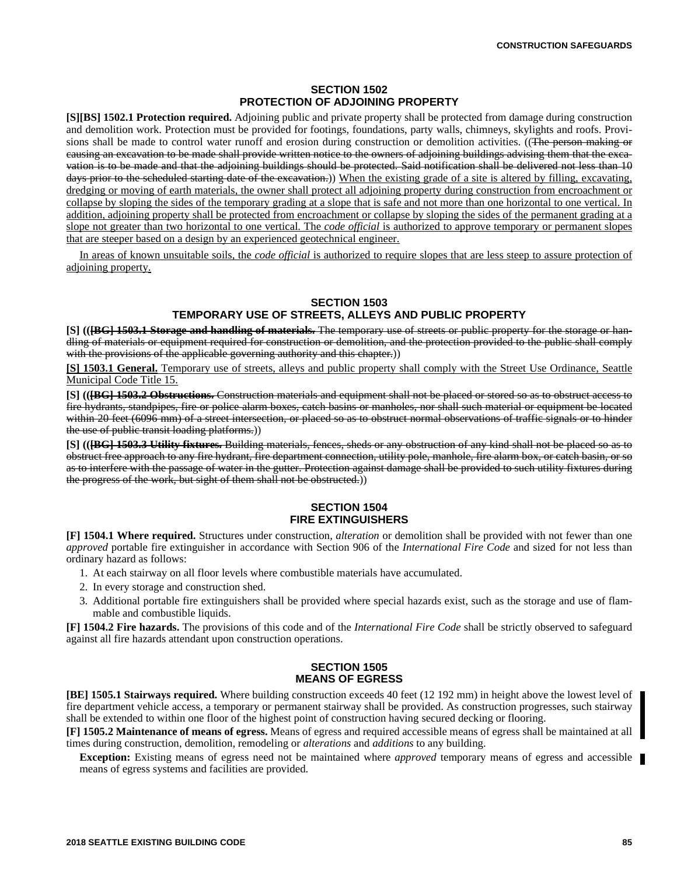#### **SECTION 1502 PROTECTION OF ADJOINING PROPERTY**

**[S][BS] 1502.1 Protection required.** Adjoining public and private property shall be protected from damage during construction and demolition work. Protection must be provided for footings, foundations, party walls, chimneys, skylights and roofs. Provisions shall be made to control water runoff and erosion during construction or demolition activities. ((The person making or causing an excavation to be made shall provide written notice to the owners of adjoining buildings advising them that the excavation is to be made and that the adjoining buildings should be protected. Said notification shall be delivered not less than 10 days prior to the scheduled starting date of the excavation.)) When the existing grade of a site is altered by filling, excavating, dredging or moving of earth materials, the owner shall protect all adjoining property during construction from encroachment or collapse by sloping the sides of the temporary grading at a slope that is safe and not more than one horizontal to one vertical. In addition, adjoining property shall be protected from encroachment or collapse by sloping the sides of the permanent grading at a slope not greater than two horizontal to one vertical. The *code official* is authorized to approve temporary or permanent slopes that are steeper based on a design by an experienced geotechnical engineer.

In areas of known unsuitable soils, the *code official* is authorized to require slopes that are less steep to assure protection of adjoining property.

#### **SECTION 1503**

## **TEMPORARY USE OF STREETS, ALLEYS AND PUBLIC PROPERTY**

**[S] (([BG] 1503.1 Storage and handling of materials.** The temporary use of streets or public property for the storage or handling of materials or equipment required for construction or demolition, and the protection provided to the public shall comply with the provisions of the applicable governing authority and this chapter.)

**[S] 1503.1 General.** Temporary use of streets, alleys and public property shall comply with the Street Use Ordinance, Seattle Municipal Code Title 15.

**[S] (([BG] 1503.2 Obstructions.** Construction materials and equipment shall not be placed or stored so as to obstruct access to fire hydrants, standpipes, fire or police alarm boxes, catch basins or manholes, nor shall such material or equipment be located within 20 feet (6096 mm) of a street intersection, or placed so as to obstruct normal observations of traffic signals or to hinder the use of public transit loading platforms.))

**[S] (([BG] 1503.3 Utility fixtures.** Building materials, fences, sheds or any obstruction of any kind shall not be placed so as to obstruct free approach to any fire hydrant, fire department connection, utility pole, manhole, fire alarm box, or catch basin, or so as to interfere with the passage of water in the gutter. Protection against damage shall be provided to such utility fixtures during the progress of the work, but sight of them shall not be obstructed.))

## **SECTION 1504 FIRE EXTINGUISHERS**

**[F] 1504.1 Where required.** Structures under construction, *alteration* or demolition shall be provided with not fewer than one *approved* portable fire extinguisher in accordance with Section 906 of the *International Fire Code* and sized for not less than ordinary hazard as follows:

- 1. At each stairway on all floor levels where combustible materials have accumulated.
- 2. In every storage and construction shed.
- 3. Additional portable fire extinguishers shall be provided where special hazards exist, such as the storage and use of flammable and combustible liquids.

**[F] 1504.2 Fire hazards.** The provisions of this code and of the *International Fire Code* shall be strictly observed to safeguard against all fire hazards attendant upon construction operations.

## **SECTION 1505 MEANS OF EGRESS**

**[BE] 1505.1 Stairways required.** Where building construction exceeds 40 feet (12 192 mm) in height above the lowest level of fire department vehicle access, a temporary or permanent stairway shall be provided. As construction progresses, such stairway shall be extended to within one floor of the highest point of construction having secured decking or flooring.

**[F] 1505.2 Maintenance of means of egress.** Means of egress and required accessible means of egress shall be maintained at all times during construction, demolition, remodeling or *alterations* and *additions* to any building.

**Exception:** Existing means of egress need not be maintained where *approved* temporary means of egress and accessible means of egress systems and facilities are provided.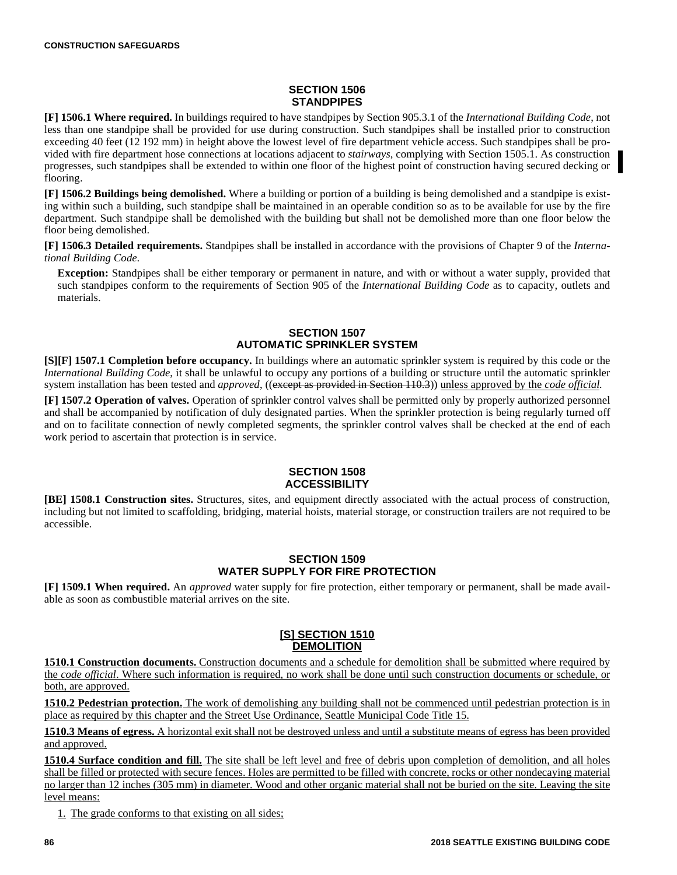# **SECTION 1506 STANDPIPES**

**[F] 1506.1 Where required.** In buildings required to have standpipes by Section 905.3.1 of the *International Building Code*, not less than one standpipe shall be provided for use during construction. Such standpipes shall be installed prior to construction exceeding 40 feet (12 192 mm) in height above the lowest level of fire department vehicle access. Such standpipes shall be provided with fire department hose connections at locations adjacent to *stairways,* complying with Section 1505.1. As construction progresses, such standpipes shall be extended to within one floor of the highest point of construction having secured decking or flooring.

**[F] 1506.2 Buildings being demolished.** Where a building or portion of a building is being demolished and a standpipe is existing within such a building, such standpipe shall be maintained in an operable condition so as to be available for use by the fire department. Such standpipe shall be demolished with the building but shall not be demolished more than one floor below the floor being demolished.

**[F] 1506.3 Detailed requirements.** Standpipes shall be installed in accordance with the provisions of Chapter 9 of the *International Building Code*.

**Exception:** Standpipes shall be either temporary or permanent in nature, and with or without a water supply, provided that such standpipes conform to the requirements of Section 905 of the *International Building Code* as to capacity, outlets and materials.

## **SECTION 1507 AUTOMATIC SPRINKLER SYSTEM**

**[S][F] 1507.1 Completion before occupancy.** In buildings where an automatic sprinkler system is required by this code or the *International Building Code*, it shall be unlawful to occupy any portions of a building or structure until the automatic sprinkler system installation has been tested and *approved*, ((except as provided in Section 110.3)) unless approved by the *code official*.

**[F] 1507.2 Operation of valves.** Operation of sprinkler control valves shall be permitted only by properly authorized personnel and shall be accompanied by notification of duly designated parties. When the sprinkler protection is being regularly turned off and on to facilitate connection of newly completed segments, the sprinkler control valves shall be checked at the end of each work period to ascertain that protection is in service.

# **SECTION 1508 ACCESSIBILITY**

**[BE] 1508.1 Construction sites.** Structures, sites, and equipment directly associated with the actual process of construction, including but not limited to scaffolding, bridging, material hoists, material storage, or construction trailers are not required to be accessible.

# **SECTION 1509 WATER SUPPLY FOR FIRE PROTECTION**

**[F] 1509.1 When required.** An *approved* water supply for fire protection, either temporary or permanent, shall be made available as soon as combustible material arrives on the site.

## **[S] SECTION 1510 DEMOLITION**

**1510.1 Construction documents.** Construction documents and a schedule for demolition shall be submitted where required by the *code official*. Where such information is required, no work shall be done until such construction documents or schedule, or both, are approved.

**1510.2 Pedestrian protection.** The work of demolishing any building shall not be commenced until pedestrian protection is in place as required by this chapter and the Street Use Ordinance, Seattle Municipal Code Title 15.

**1510.3 Means of egress.** A horizontal exit shall not be destroyed unless and until a substitute means of egress has been provided and approved.

**1510.4 Surface condition and fill.** The site shall be left level and free of debris upon completion of demolition, and all holes shall be filled or protected with secure fences. Holes are permitted to be filled with concrete, rocks or other nondecaying material no larger than 12 inches (305 mm) in diameter. Wood and other organic material shall not be buried on the site. Leaving the site level means:

1. The grade conforms to that existing on all sides;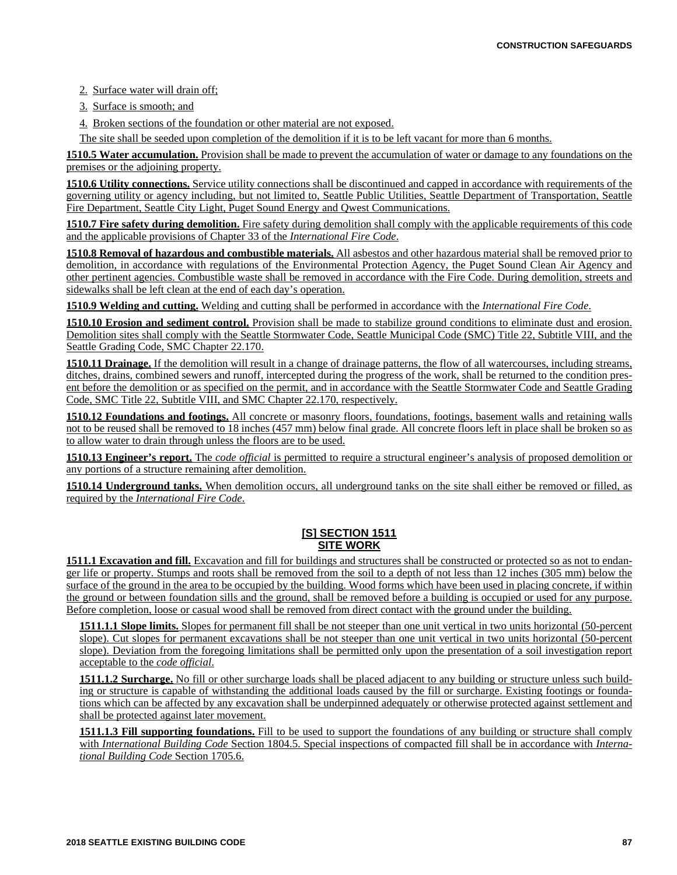2. Surface water will drain off;

3. Surface is smooth; and

4. Broken sections of the foundation or other material are not exposed.

The site shall be seeded upon completion of the demolition if it is to be left vacant for more than 6 months.

**1510.5 Water accumulation.** Provision shall be made to prevent the accumulation of water or damage to any foundations on the premises or the adjoining property.

**1510.6 Utility connections.** Service utility connections shall be discontinued and capped in accordance with requirements of the governing utility or agency including, but not limited to, Seattle Public Utilities, Seattle Department of Transportation, Seattle Fire Department, Seattle City Light, Puget Sound Energy and Qwest Communications.

**1510.7 Fire safety during demolition.** Fire safety during demolition shall comply with the applicable requirements of this code and the applicable provisions of Chapter 33 of the *International Fire Code*.

**1510.8 Removal of hazardous and combustible materials.** All asbestos and other hazardous material shall be removed prior to demolition, in accordance with regulations of the Environmental Protection Agency, the Puget Sound Clean Air Agency and other pertinent agencies. Combustible waste shall be removed in accordance with the Fire Code. During demolition, streets and sidewalks shall be left clean at the end of each day's operation.

**1510.9 Welding and cutting.** Welding and cutting shall be performed in accordance with the *International Fire Code*.

**1510.10 Erosion and sediment control.** Provision shall be made to stabilize ground conditions to eliminate dust and erosion. Demolition sites shall comply with the Seattle Stormwater Code, Seattle Municipal Code (SMC) Title 22, Subtitle VIII, and the Seattle Grading Code, SMC Chapter 22.170.

**1510.11 Drainage.** If the demolition will result in a change of drainage patterns, the flow of all watercourses, including streams, ditches, drains, combined sewers and runoff, intercepted during the progress of the work, shall be returned to the condition present before the demolition or as specified on the permit, and in accordance with the Seattle Stormwater Code and Seattle Grading Code, SMC Title 22, Subtitle VIII, and SMC Chapter 22.170, respectively.

**1510.12 Foundations and footings.** All concrete or masonry floors, foundations, footings, basement walls and retaining walls not to be reused shall be removed to 18 inches (457 mm) below final grade. All concrete floors left in place shall be broken so as to allow water to drain through unless the floors are to be used.

**1510.13 Engineer's report.** The *code official* is permitted to require a structural engineer's analysis of proposed demolition or any portions of a structure remaining after demolition.

**1510.14 Underground tanks.** When demolition occurs, all underground tanks on the site shall either be removed or filled, as required by the *International Fire Code*.

# **[S] SECTION 1511 SITE WORK**

**1511.1 Excavation and fill.** Excavation and fill for buildings and structures shall be constructed or protected so as not to endanger life or property. Stumps and roots shall be removed from the soil to a depth of not less than 12 inches (305 mm) below the surface of the ground in the area to be occupied by the building. Wood forms which have been used in placing concrete, if within the ground or between foundation sills and the ground, shall be removed before a building is occupied or used for any purpose. Before completion, loose or casual wood shall be removed from direct contact with the ground under the building.

**1511.1.1 Slope limits.** Slopes for permanent fill shall be not steeper than one unit vertical in two units horizontal (50-percent) slope). Cut slopes for permanent excavations shall be not steeper than one unit vertical in two units horizontal (50-percent slope). Deviation from the foregoing limitations shall be permitted only upon the presentation of a soil investigation report acceptable to the *code official*.

**1511.1.2 Surcharge.** No fill or other surcharge loads shall be placed adjacent to any building or structure unless such building or structure is capable of withstanding the additional loads caused by the fill or surcharge. Existing footings or foundations which can be affected by any excavation shall be underpinned adequately or otherwise protected against settlement and shall be protected against later movement.

**1511.1.3 Fill supporting foundations.** Fill to be used to support the foundations of any building or structure shall comply with *International Building Code* Section 1804.5. Special inspections of compacted fill shall be in accordance with *International Building Code* Section 1705.6.